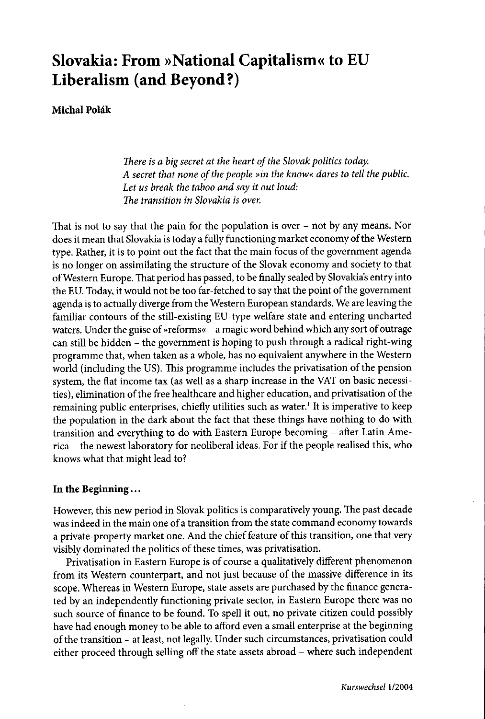# **Slovakia: From »National Capitalism« to EU Liberalism (and Beyond?)**

# **Michal Polák**

*There is a big secret at the heart of the Slovak politics today. A secret that none of thepeople "in the know« dares to tell the public. Let us break the taboo and say it out loud: The transition in Slovakia is over.*

That is not to say that the pain for the population is over  $-$  not by any means. Nor does it mean that Slovakia is today a fully functioning market economy of the Western type. Rather, it is to point out the fact that the main focus of the government agenda is no longer on assimilating the structure of the Slovak economy and society to that ofWestern Europe. That period has passed, to be finally sealed by Slovakia's entry into the EU. Today, it would not be too far-fetched to say that the point of the government agenda isto actually diverge from the Western European standards. We are leaving the familiar contours of the still-existing EU-type welfare state and entering uncharted waters. Under the guise of »reforms« - a magie word behind whieh any sort of outrage can still be hidden - the government is hoping to push through a radieal right-wing programme that, when taken as a whole, has no equivalent anywhere in the Western world (including the US). This programme includes the privatisation of the pension system, the flat income tax (as weil as a sharp increase in the VAT on basic necessities), elimination of the free healthcare and higher education, and privatisation of the remaining public enterprises, chiefly utilities such as water.<sup>1</sup> It is imperative to keep the population in the dark about the fact that these things have nothing to do with transition and everything to do with Eastern Europe becoming - after Latin America - the newest laboratory for neoliberal ideas. For if the people realised this, who knows what that might lead to?

# **In the Beginning ...**

However, this new period in Slovak politics is comparatively young. The past decade was indeed in the main one of a transition from the state command economy towards a private-property market one. And the chief feature of this transition, one that very visibly dominated the politics of these times, was privatisation.

Privatisation in Eastern Europe is of course a qualitatively different phenomenon from its Western counterpart, and not just because of the massive difference in its scope. Whereas in Western Europe, state assets are purchased by the finance generated by an independently functioning private sector, in Eastern Europe there was no such source of finance to be found. To spell it out, no private citizen could possibly have had enough money to be able to afford even a small enterprise at the beginning of the transition - at least, not legally. Under such circumstances, privatisation could either proceed through selling off the state assets abroad - where such independent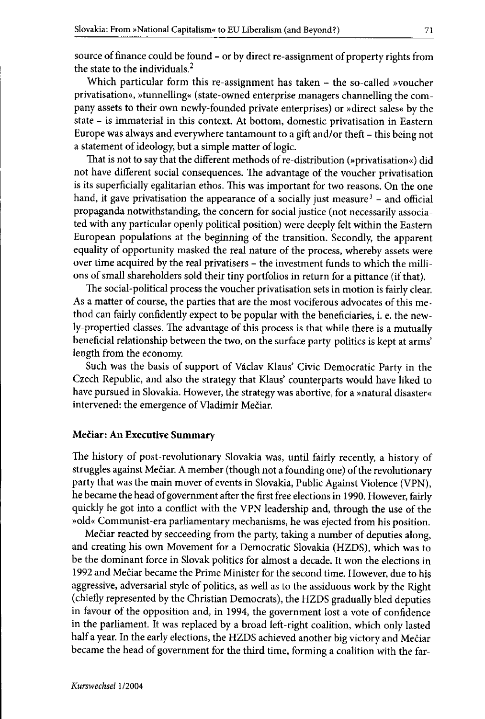source of finance could be found - or by direct re-assignment of property rights from the state to the individuals.<sup>2</sup>

Which particular form this re-assignment has taken - the so-called »voucher privatisation«, »tunnelling« (state-owned enterprise managers channelling the company assets to their own newly-founded private enterprises) or »direct sales« by the state - is immaterial in this context. At bottom, domestic privatisation in Eastern Europe was always and everywhere tantamount to a gift and/or theft - this being not a statement of ideology, but a simple matter of logic.

That is not to say that the different methods of re-distribution (»privatisation«) did not have different social consequences. The advantage of the voucher privatisation is its superficially egalitarian ethos. This was important for two reasons. On the one hand, it gave privatisation the appearance of a socially just measure<sup>3</sup> – and official propaganda notwithstanding, the concern for social justice (not necessarily associated with any particular openly political position) were deeply felt within the Eastern European populations at the beginning of the transition. Secondly, the apparent equality of opportunity masked the real nature of the process, whereby assets were over time acquired by the real privatisers - the investment funds to which the millions of small shareholders sold their tiny portfolios in return for a pittance (if that).

The social-political process the voucher privatisation sets in motion is fairly clear. As a matter of course, the parties that are the most vociferous advocates of this method can fairly confidently expect to be popular with the beneficiaries, i. e. the newly-propertied classes. The advantage of this process is that while there is a mutually beneficial relationship between the two, on the surface party-politics is kept at arms' length from the economy.

Such was the basis of support of Vaclav Klaus' Civic Democratic Party in the Czech Republic, and also the strategy that Klaus' counterparts would have Iiked to have pursued in Slovakia. However, the strategy was abortive, for a »natural disaster« intervened: the emergence of Vladimir Meciar.

#### Meciar: An Executive Summary

The history of post~revolutionary Slovakia was, until fairly recently, a history of struggles against Mečiar. A member (though not a founding one) of the revolutionary party that was the main mover of events in Slovakia, Public Against Violence (VPN), he became the head of government after the first free elections in 1990. However, fairly quickly he got into a conflict with the VPN leadership and, through the use of the »old« Communist-era parliamentary mechanisms, he was ejected from his position.

Mečiar reacted by secceeding from the party, taking a number of deputies along, and creating his own Movement for a Democratic Slovakia (HZOS), which was to be the dominant force in Slovak politics for almost a decade. lt won the elections in 1992 and Meciar became the Prime Minister for the second time. However, due to his aggressive, adversarial style of politics, as well as to the assiduous work by the Right (chiefly represented by the Christian Democrats), the HZDS gradually bled deputies in favour of the opposition and, in 1994, the government lost a vote of confidence in the parliament. It was replaced by a broad left-right coalition, which only lasted half a year. In the early elections, the HZDS achieved another big victory and Mečiar became the head of government for the third time, forming a coalition with the far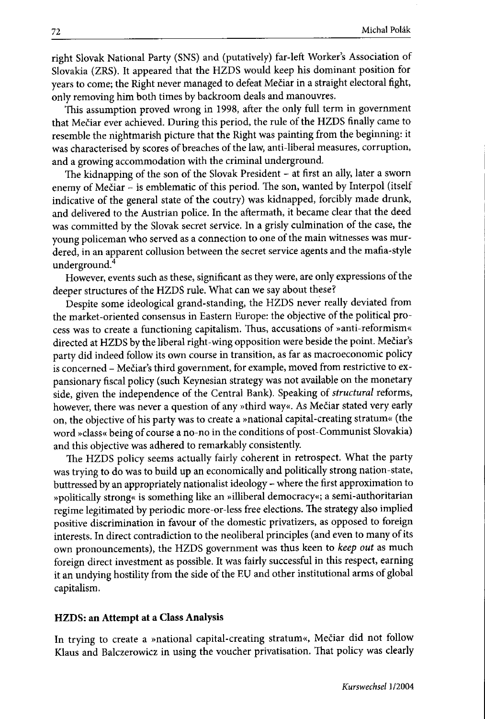right Slovak National Party (SNS) and (putatively) far-Ieft Worker's Association of Slovakia (ZRS). It appeared that the HZDS would keep his dominant position for years to come; the Right never managed to defeat Mečiar in a straight electoral fight, only removing hirn both times by backroom deals and manouvres.

This assumption proved wrong in 1998, after the only full term in government that Mečiar ever achieved. During this period, the rule of the HZDS finally came to resemble the nightmarish picture that the Right was painting from the beginning: it was characterised by scores of breaches of the law, anti-liberal measures, corruption, and a growing accommodation with the criminal underground.

The kidnapping of the son of the Slovak President - at first an ally, later a sworn enemy of Mečiar - is emblematic of this period. The son, wanted by Interpol (itself indicative of the general state of the coutry) was kidnapped, forcibly made drunk, and delivered to the Austrian police. In the aftermath, it became clear that the deed was committed by the Slovak secret service. In a grisly culmination of the case, the young policeman who served as a connection to one of the main witnesses was murdered, in an apparent collusion between the secret service agents and the mafia-style underground.<sup>4</sup>

However, events such as these, significant as they were, are only expressions of the deeper structures of the HZDS rule. What can we say about these?

Despite some ideological grand-standing, the HZDS never really deviated from the market -oriented consensus in Eastern Europe: the objective of the political process was to create a functioning capitalism. Thus, accusations of »anti-reformism« directed at HZDS by the liberal right-wing opposition were beside the point. Mečiar's party did indeed follow its own course in transition, as far as macroeconomic policy is concerned - Mečiar's third government, for example, moved from restrictive to expansionary fiscal policy (such Keynesian strategy was not available on the monetary side, given the independence of the Central Bank). Speaking of *structural* reforms, however, there was never a question of any »third way«. As Mečiar stated very early on, the objective of his party was to create a »national capital-creating stratum« (the word »dass« being of course a no-no in the conditions of post -Communist Slovakia) and this objective was adhered to remarkably consistently.

The HZDS policy seems actually fairly coherent in retrospect. What the party was trying to do was to build up an economically and politically strong nation-state, buttressed by an appropriately nationalist ideology - where the first approximation to »politically strong« is something like an »illiberal democracy«; a semi-authoritarian regime legitimated by periodic more-or-Iess free elections. The strategy also implied positive discrimination in favour of the domestic privatizers, as opposed to foreign interests. In direct contradiction to the neoliberal principles (and even to many of its own pronouncements), the HZDS government was thus keen to *keep out* as much foreign direct investment as possible. It was fairly successful in this respect, earning it an undying hostility from the side of the EU and other institutional arms of global capitalism.

## HZDS: an Attempt at a Class Analysis

In trying to create a »national capital-creating stratum«, Mečiar did not follow Klaus and Balczerowicz in using the voucher privatisation. That policy was dearly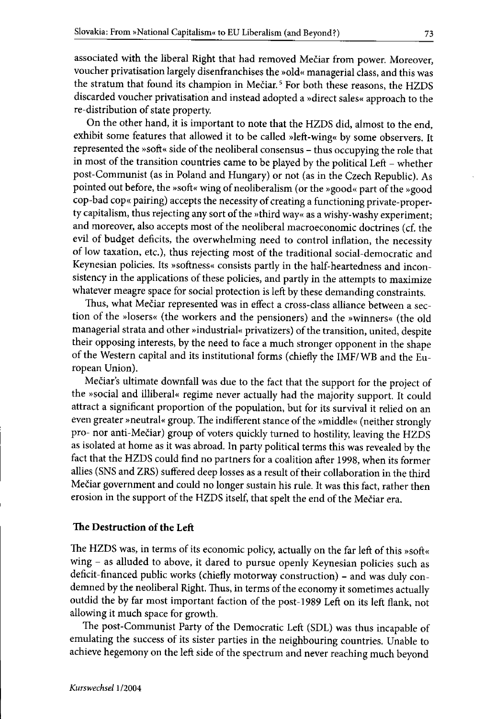associated with the liberal Right that had removed Mečiar from power. Moreover, voucher privatisation largely disenfranchises the »old« managerial class, and this was the stratum that found its champion in Mečiar.<sup>5</sup> For both these reasons, the HZDS discarded voucher privatisation and instead adopted a »direct sales« approach to the re-distribution of state property.

On the other hand, it is important to note that the HZDS did, almost to the end, exhibit some features that allowed it to be called »left-wing« by some observers. It represented the »soft« side of the neoliberal consensus - thus occupying the role that in most of the transition countries came to be played by the political Left - whether post-Communist (as in Poland and Hungary) or not (as in the Czech Republic). As pointed out before, the »soft« wing of neoliberalism (or the »good« part of the »good cop-bad cop« pairing) accepts the necessity of creating a functioning private-property capitalism, thus rejecting any sort of the »third way« as a wishy-washy experiment; and moreover, also accepts most of the neoliberal macroeconomic doctrines (cf. the evil of budget deficits, the overwhelming need to control inflation, the necessity of low taxation, etc.), thus rejecting most of the traditional social-democratic and Keynesian policies. fts »softness« consists partly in the half-heartedness and inconsistency in the applications of these policies, and partly in the attempts to maximize whatever meagre space for social protection is left by these demanding constraints.

Thus, what Mečiar represented was in effect a cross-class alliance between a section of the »losers« (the workers and the pensioners) and the »winners« (the old managerial strata and other »industrial« privatizers) of the transition, united, despite their opposing interests, by the need to face a much stronger opponent in the shape of the Western capital and its institutional forms (chiefly the IMF/WB and the European Union).

Meciar's ultimate downfall was due to the fact that the support for the project of the »social and illiberal« regime never actually had the majority support. It could attract a significant proportion of the population, but for its survival it relied on an even greater »neutral« group. The indifferent stance of the »middle« (neither strongly pro- nor anti-Mečiar) group of voters quickly turned to hostility, leaving the HZDS as isolated at horne as it was abroad. In party political terms this was revealed by the fact that the HZDS could find no partners for a coalition after 1998, when its former allies (SNS and ZRS) suffered deep losses as a result of their collaboration in the third Mečiar government and could no longer sustain his rule. It was this fact, rather then erosion in the support of the HZDS itself, that spelt the end of the Mečiar era.

# The Destruction of the Left

The HZDS was, in terms of its economic policy, actually on the far left of this »soft« wing - as alluded to above, it dared to pursue openly Keynesian policies such as deficit-financed public works (chiefly motorway construction) - and was duly condemned by the neoliberal Right. Thus, in terms of the economy it sometimes actually outdid the by far most important faction of the post -1989 Left on its left flank, not allowing it much space for growth.

The post-Communist Party of the Democratic Left (SDL) was thus incapable of emulating the success of its sister parties in the neighbouring countries. Unable to achieve hegemony on the left side of the spectrum and never reaching much beyond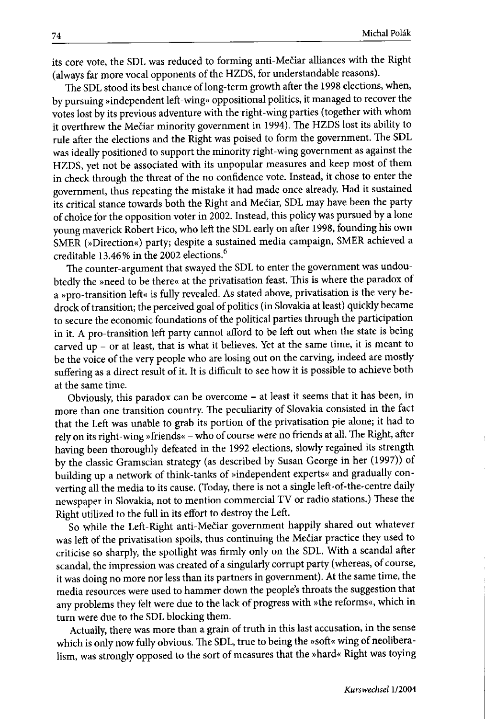its core vote, the SDL was reduced to forming anti-Mečiar alliances with the Right (always far more vocal opponents of the HZDS, for understandable reasons).

The SDL stood its best chance of long-term growth after the 1998 elections, when, by pursuing »independent left-wing« oppositional politics, it managed to recover the votes lost by its previous adventure with theright-wing parties (together with whom it overthrew the Mečiar minority government in 1994). The HZDS lost its ability to rule after the elections and the Right was poised to form the government. The SDL was ideally positioned to support the minority right -wing government as against the HZDS, yet not be associated with its unpopular measures and keep most of them in check through the threat of the no eonfidence vote. Instead, it chose to eoter the government, thus repeating the mistake it had made onee already. Had it sustained its critical stance towards both the Right and Mečiar, SDL may have been the party of ehoice for the opposition voter in 2002. Instead, this poliey was pursued by a lone young maverick Robert Fico, who left the SDL early on after 1998, founding his owo SMER (»Direction«) party; despite a sustained media campaign, SMER aehieved a creditable 13.46% in the 2002 elections.<sup>6</sup>

The counter-argument that swayed the SDL to enter the government was undoubtedly the »need to be there« at the privatisation feast. This is where the paradox of a »pro-transition left« is fully revealed. As stated above, privatisation is the very bedrock of transition; the perceived goal of politics (in Slovakia at least) quickly beeame to secure the eeonomic foundations of the political parties through the participation in it. A pro-transition left party cannot afford to be left out when the state is being carved up - or at least, that is what it believes. Yet at the same time, it is meant to be the voice of the very people who are losing out on the earving, indeed are mostly suffering as a direct result of it. It is difficult to see how it is possible to achieve both at the same time.

Obviously, this paradox can be overcome - at least it seems that it has been, in more than one transition country. The peculiarity of Slovakia consisted in the fact that the Left was unable to grab its portion of the privatisation pie alone; it had to rely on its right -wing »friends« - who of course were no friends at aH.The Right, after having been thoroughly defeated in the 1992 elections, slowly regained its strength by the classie Gramscian strategy (as described by Susan George in her (1997)) of building up a network of think-tanks of »independent experts« and gradually converting all the media to its cause. (Today, there is not a single left-of-the-centre daily newspaper in Slovakia, not to mention eommercial TV or radio stations.) These the Right utilized to the full in its effort to destroy the Left.

So while the Left-Right anti-MeCiar government happily shared out whatever was left of the privatisation spoils, thus eontinuing the Meciar praetice they used to criticise so sharply, the spotlight was firmly only on the SDL. With a scandal after seandal, the impression was ereated of a singularly corrupt party (whereas, of course, it was doing no more nor less than its partners in government). At the same time, the media resources were used to hammer down the people's throats the suggestion that any problems they feit were due to the lack of progress with »the reforms«, which in turn were due to the SDL blocking them.

Actually, there was more than a grain of truth in this last accusation, in the sense which is only now fuHy obvious. The SDL, true to being the »soft« wing of neoliberalism, was strongly opposed to the sort of measures that the »hard« Right was toying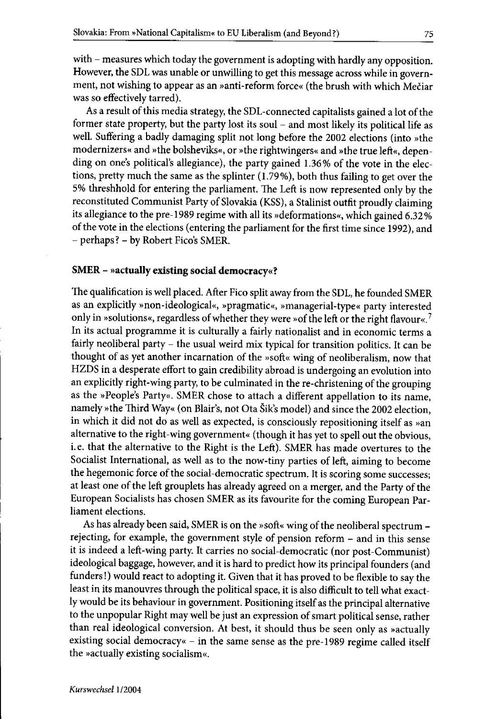with - measures which today the government is adopting with hardly any opposition. However, the SDL was unable or unwilling to get this message across while in government, not wishing to appear as an »anti-reform force« (the brush with which Mečiar was so effectively tarred).

As a result of this media strategy, the SDL-connected capitalists gained a lot of the former state property, but the party lost its soul – and most likely its political life as weil. Suffering a badly damaging split not long before the 2002 elections (into »the modernizers« and »the bolsheviks«, or »the rightwingers« and »the true left«, depending on one's political's allegiance), the party gained 1.36% of the vote in the elections, pretty much the same as the splinter (1.79%), both thus failing to get over the 5% threshhold for entering the parliament. The Left is now represented only by the reconstituted Communist Party of Slovakia (KSS), a Stalinist outfit proudly claiming its allegiance to the pre-1989 regime with all its »deformations«, whieh gained 6.32 % of the vote in the elections (entering the parliament for the first time since 1992), and - perhaps? - by Robert Fico's SMER.

#### SMER - »actually existing social democracy«?

The qualification is weil placed. After Fico split away from the SDL, he founded SMER as an explicitly »non-ideological«, »pragmatic«, »managerial-type« party interested only in »solutions«, regardless of whether they were »of the left or the right flavour«.<sup>7</sup> In its actual programme it is culturally a fairly nationalist and in economic terms a fairly neoliberal party - the usual weird mix typical for transition politics. It can be thought of as yet another incarnation of the »soft« wing of neoliberalism, now that HZDS in a desperate effort to gain credibility abroad is undergoing an evolution into an explicitly right-wing party, to be culminated in the re-christening of the grouping as the »People's Party«. SMER chose to attach a different appellation to its name, namely »the Third Way« (on Blair's, not Ota Sik's model) and since the 2002 election, in which it did not do as well as expected, is consciously repositioning itself as »an alternative to the right-wing government« (though it has yet to spell out the obvious, i. e. that the alternative to the Right is the Left). SMER has made overtures to the Socialist International, as well as to the now-tiny parties of left, aiming to become the hegemonic force of the social-democratic spectrum. It is scoring some successes; at least one of the left grouplets has already agreed on a merger, and the Party of the European Socialists has chosen SMER as its favourite for the coming European Parliament elections.

As has already been said, SMER is on the »soft« wing of the neoliberal spectrum rejecting, for example, the government style of pension reform - and in this sense it is indeed a left-wing party. It carries no social-democratic (nor post-Communist) ideological baggage, however, and it is hard to predict how its principal founders (and funders !) would react to adopting it. Given that it has proved to be flexible to say the least in its manouvres through the politieal space, it is also difficult to tell what exactly would be its behaviour in government. Positioning itself as the principal alternative to the unpopular Right may weil be just an expression of smart political sense, rather than real ideological conversion. At best, it should thus be seen only as »actually existing social democracy« - in the same sense as the pre-1989 regime called itself the »actually existing socialism«.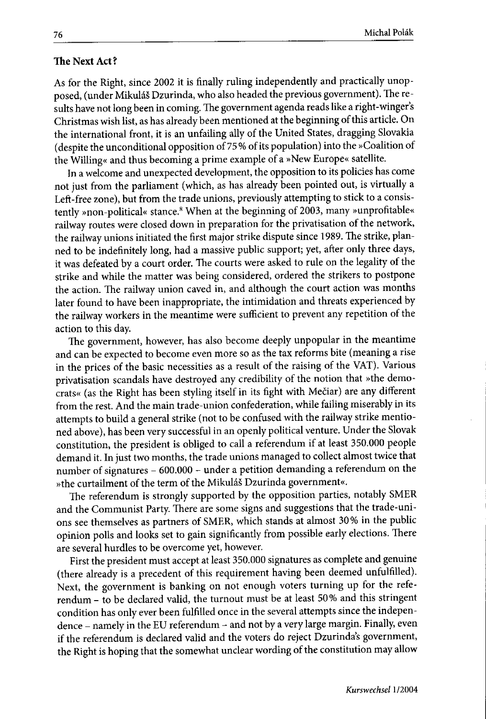#### **The Next Act?**

As for the Right, since 2002 it is finally ruling independently and practically unopposed, (under Mikuláš Dzurinda, who also headed the previous government). The results have not long been in coming. The government agenda reads like a right-winger's Christmas wish list, as has already been mentioned at the beginning of this artide. On the international front, it is an unfailing ally of the United States, dragging Slovakia (despite the unconditional opposition of 75% of its population) into the »Coalition of the Willing« and thus becoming a prime example of a »New Europe« satellite.

In a welcome and unexpected development, the opposition to its policies has come not just from the parliament (which, as has already been pointed out, is virtually a Left-free zone), but from the trade unions, previously attempting to stick to a consistently »non-political« stance.<sup>8</sup> When at the beginning of 2003, many »unprofitable« railway routes were dosed down in preparation for the privatisation of the network, the railway unions initiated the first major strike dispute since 1989. The strike, planned to be indefinitely long, had a massive public support; yet, after only three days, it was defeated by a court order. The courts were asked to rule on the legality of the strike and while the matter was being considered, ordered the strikers to postpone the action. The railway union caved in, and although the court action was months later found to have been inappropriate, the intimidation and threats experienced by the railway workers in the meantime were sufficient to prevent any repetition of the action to this day.

The government, however, has also become deeply unpopular in the meantime and can be expected to become even more so as the tax reforms bite (meaning a rise in the prices of the basic necessities as a result of the raising of the VAT). Various privatisation scandals have destroyed any credibility of the notion that »the democrats« (as the Right has been styling itself in its fight with Mečiar) are any different from the rest. And the main trade-union confederation, while failing miserably in its attempts to build a general strike (not to be confused with the railway strike mentioned above), has been very successful in an openly political venture. Under the Slovak constitution, the president is obliged to call a referendum if at least 350.000 people demand it. In just two months, the trade unions managed to collect almost twice that number of signatures - 600.000 - under a petition demanding a referendum on the »the curtailment of the term of the Mikuláš Dzurinda government«.

The referendum is strongly supported by tbe opposition parties, notably SMER and the Communist Party. There are some signs and suggestions that the trade-unions see themselves as partners of SMER, which stands at almost 30% in the public opinion polIs and looks set to gain significantly from possible early elections. There are several hurdles to be overcome yet, however.

First the president must accept at least 350.000 signatures as complete and genuine (there already is a precedent of this requirement having been deemed unfulfilled). Next, the government is banking on not enough voters turning up for the referendum - to be dedared valid, the turnout must be at least 50% and this stringent condition has only ever been fulfilled once in the several attempts since the independence - namely in the EU referendum - and not by a very large margin. Finally, even if the referendum is dedared valid and the voters do reject Dzurinda's government, the Right is hoping that the somewhat undear wording of the constitution may allow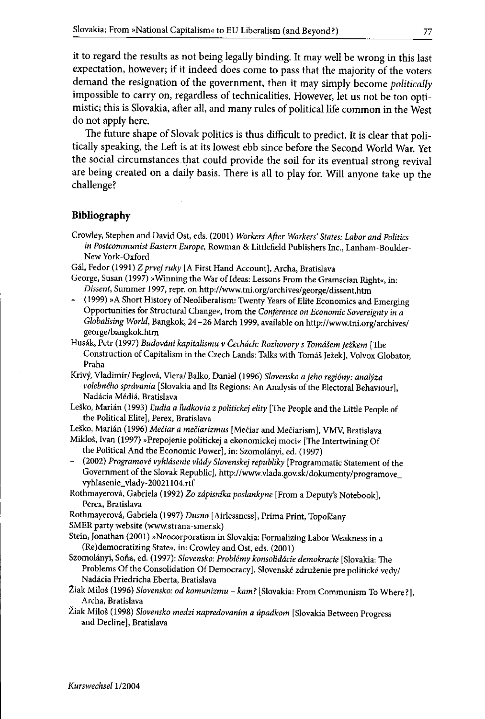it to regard the results as not being legally binding. It may well be wrang in this last expectation, however; if it indeed does come to pass that the majority of the voters demand the resignation of the government, then it may simply become *politically* impossible to carry on, regardless of technicalities. However, let us not be too optimistic; this is Slovakia, after all, and many rules of political life common in the West do not apply here.

The future shape of Slovak politics is thus difticult to predict. It is clear that politically speaking, the Left is at its lowest ebb since before the Second World War. Yet the social circumstances that could provide the soil for its eventual strong revival are being created on a daily basis. There is all to play for. Will anyone take up the challenge?

#### **Bibliography**

- Crowley, Stephcn and David Ost, cds. (2001) *Workers After Workers' States: Labor and Politics in Postcommunist Bastern Europe,* Rowman & Littlefield Publishers Ine., Lanham-Boulder-New York-Oxford
- Ga!, Fedor (1991) 2*prvej ruky* [A First Hand Account], Archa, Bratislava
- George, Susan (1997) »Winning the War ofIdeas: Lessons From the Gramscian Right«, in: *Di\$sent,* Summer 1997, repr. on http://www.tni.org/archives/georgc/dissent.htm
- (1999) »A Short History of Neoliberalism: Twenty Years of Elite Economics and Emerging Opportunities for Structural Change«, from the *Conference on Economic Sovereignty in a Globalising World,* Bangkok, 24 -26 March 1999, available on http://www.tni.org/archives/ george/bangkok.htm
- Husak, Petr (1997) *Budovdni kapitalismu v Cechdch: Rozhovory s Tomdsem jetkem* [The Construction of Capitalism in the Czech Lands: Talks with Tomáš Ježek], Volvox Globator, Praha
- Krivy, Vladimir/ Feglova, *Vieral* Balko, Daniel (1996) *Slovensko a jeho regi6ny: analyza volebneho sprdvania* [Slovakia and Its Regions: An Analysis of the Electoral Behaviour], Nadácia Médiá, Bratislava
- Leško, Marián (1993) *Ľudia a ľudkovia z politickej elity* ['1he People and the Little People of the Political Elite], Perex, Bratislava
- Leško, Marián (1996) *Mečiar a mečiarizmus* [Mečiar and Mečiarism], VMV, Bratislava Miklos, Ivan (1997) »Prepojenie politickej a ekonomickej moci« [The Intertwining Of

the Political And the Economic Power], in: Szomolanyi, cd. (1997)

- (2002) *Progmmove vyhldsenie vlddy Slovenskej republiky* [Programmatic Statement of the Government of the Slovak Republic), http://www.vlada.gov.sk/dokumenty/programove\_ vyhlasenie\_ vlady-20021104.rtf
- Rothmayerova, Gabriela (1992) *20 zdpisnika poslankyne* [From a Deputy's Notebook], Perex, Bratislava
- Rothmayerová, Gabriela (1997) *Dusno* [Airlessness], Prima Print, Topoľčany

SMER party website (www.strana-smer.sk)

- Stein, Jonathan (2001) »Neocorporatism in Slovakia: Formalizing Labor Weakness in a (Re)democratizing State«, in: Crowley and Ost, eds. (2001)
- Szomolanyi, Sofia, ed. (1997): *Slovensko: Problemy konsoliddcie demokmcie* [Slovakia: The Problems Of the Consolidation Of DemocracyJ, Slovenske zdruzenie pre politicke *vedyl* Nadacia Friedricha Eberta, Bratislava
- Žiak Miloš (1996) *Slovensko: od komunizmu kam?* [Slovakia: From Communism To Where?], Archa, Bratislava
- Ziak Milos (1998) *Slovensko medzi napredovanim a upadkom* [Slovakia Between Progress and Decline], Bratislava